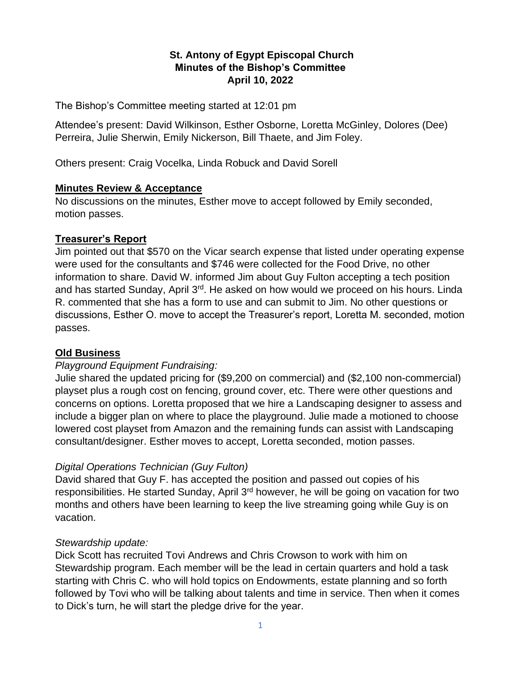### **St. Antony of Egypt Episcopal Church Minutes of the Bishop's Committee April 10, 2022**

The Bishop's Committee meeting started at 12:01 pm

Attendee's present: David Wilkinson, Esther Osborne, Loretta McGinley, Dolores (Dee) Perreira, Julie Sherwin, Emily Nickerson, Bill Thaete, and Jim Foley.

Others present: Craig Vocelka, Linda Robuck and David Sorell

#### **Minutes Review & Acceptance**

No discussions on the minutes, Esther move to accept followed by Emily seconded, motion passes.

#### **Treasurer's Report**

Jim pointed out that \$570 on the Vicar search expense that listed under operating expense were used for the consultants and \$746 were collected for the Food Drive, no other information to share. David W. informed Jim about Guy Fulton accepting a tech position and has started Sunday, April 3<sup>rd</sup>. He asked on how would we proceed on his hours. Linda R. commented that she has a form to use and can submit to Jim. No other questions or discussions, Esther O. move to accept the Treasurer's report, Loretta M. seconded, motion passes.

#### **Old Business**

#### *Playground Equipment Fundraising:*

Julie shared the updated pricing for (\$9,200 on commercial) and (\$2,100 non-commercial) playset plus a rough cost on fencing, ground cover, etc. There were other questions and concerns on options. Loretta proposed that we hire a Landscaping designer to assess and include a bigger plan on where to place the playground. Julie made a motioned to choose lowered cost playset from Amazon and the remaining funds can assist with Landscaping consultant/designer. Esther moves to accept, Loretta seconded, motion passes.

#### *Digital Operations Technician (Guy Fulton)*

David shared that Guy F. has accepted the position and passed out copies of his responsibilities. He started Sunday, April 3<sup>rd</sup> however, he will be going on vacation for two months and others have been learning to keep the live streaming going while Guy is on vacation.

#### *Stewardship update:*

Dick Scott has recruited Tovi Andrews and Chris Crowson to work with him on Stewardship program. Each member will be the lead in certain quarters and hold a task starting with Chris C. who will hold topics on Endowments, estate planning and so forth followed by Tovi who will be talking about talents and time in service. Then when it comes to Dick's turn, he will start the pledge drive for the year.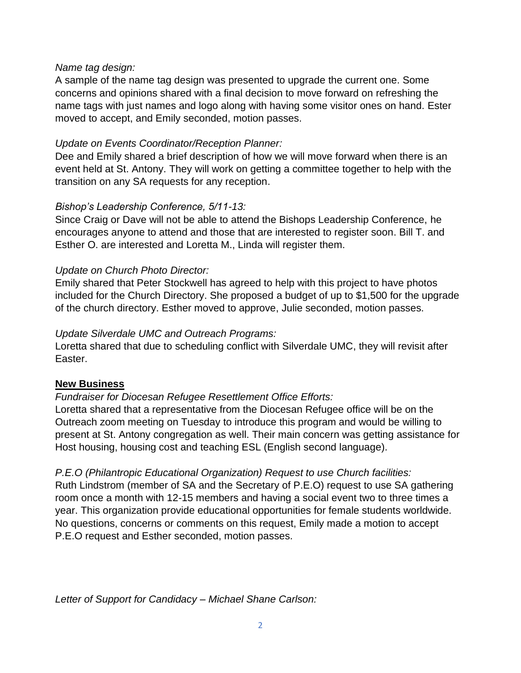### *Name tag design:*

A sample of the name tag design was presented to upgrade the current one. Some concerns and opinions shared with a final decision to move forward on refreshing the name tags with just names and logo along with having some visitor ones on hand. Ester moved to accept, and Emily seconded, motion passes.

### *Update on Events Coordinator/Reception Planner:*

Dee and Emily shared a brief description of how we will move forward when there is an event held at St. Antony. They will work on getting a committee together to help with the transition on any SA requests for any reception.

## *Bishop's Leadership Conference, 5/11-13:*

Since Craig or Dave will not be able to attend the Bishops Leadership Conference, he encourages anyone to attend and those that are interested to register soon. Bill T. and Esther O. are interested and Loretta M., Linda will register them.

## *Update on Church Photo Director:*

Emily shared that Peter Stockwell has agreed to help with this project to have photos included for the Church Directory. She proposed a budget of up to \$1,500 for the upgrade of the church directory. Esther moved to approve, Julie seconded, motion passes.

### *Update Silverdale UMC and Outreach Programs:*

Loretta shared that due to scheduling conflict with Silverdale UMC, they will revisit after Easter.

# **New Business**

# *Fundraiser for Diocesan Refugee Resettlement Office Efforts:*

Loretta shared that a representative from the Diocesan Refugee office will be on the Outreach zoom meeting on Tuesday to introduce this program and would be willing to present at St. Antony congregation as well. Their main concern was getting assistance for Host housing, housing cost and teaching ESL (English second language).

# *P.E.O (Philantropic Educational Organization) Request to use Church facilities:*

Ruth Lindstrom (member of SA and the Secretary of P.E.O) request to use SA gathering room once a month with 12-15 members and having a social event two to three times a year. This organization provide educational opportunities for female students worldwide. No questions, concerns or comments on this request, Emily made a motion to accept P.E.O request and Esther seconded, motion passes.